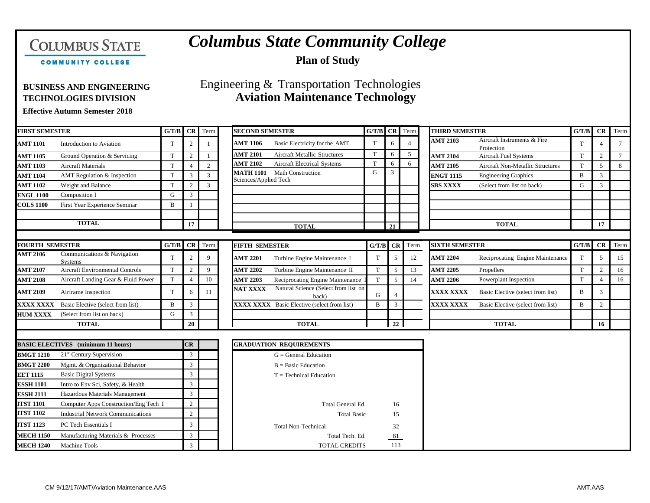# **COLUMBUS STATE**

## *Columbus State Community College*

**Plan of Study**

COMMUNITY COLLEGE

### **BUSINESS AND ENGINEERING** Engineering & Transportation Technologies **TECHNOLOGIES DIVISION Aviation Maintenance Technology**

**Effective Autumn Semester 2018**

| <b>FIRST SEMESTER</b>                                        |                                               | G/T/B          | <b>CR</b>              | <b>SECOND SEMESTER</b><br>Term   |                                                                  |             | CR Term<br>G/T/B |                 | <b>THIRD SEMESTER</b> |                                           | G/T/B          | <b>CR</b>      | Term            |
|--------------------------------------------------------------|-----------------------------------------------|----------------|------------------------|----------------------------------|------------------------------------------------------------------|-------------|------------------|-----------------|-----------------------|-------------------------------------------|----------------|----------------|-----------------|
| <b>AMT 1101</b>                                              | Introduction to Aviation                      | $\mathbf T$    |                        |                                  | <b>AMT 1106</b><br>Basic Electricity for the AMT                 | T           | 6                | $\overline{4}$  | <b>AMT 2103</b>       | Aircraft Instruments & Fire<br>Protection | $\mathbf T$    |                | $7\phantom{.0}$ |
| <b>AMT 1105</b>                                              | Ground Operation & Servicing                  | T              | $\overline{2}$         |                                  | <b>AMT 2101</b><br>Aircraft Metallic Structures                  | T           | 6                | $5\overline{)}$ | <b>AMT 2104</b>       | Aircraft Fuel Systems                     | $\mathbf T$    | $\overline{2}$ | $7\overline{ }$ |
| <b>AMT 1103</b>                                              | <b>Aircraft Materials</b>                     | T              | $\boldsymbol{\Lambda}$ | $\overline{2}$                   | <b>AMT 2102</b><br><b>Aircraft Electrical Systems</b>            | T           | 6                | 6               | <b>AMT 2105</b>       | <b>Aircraft Non-Metallic Structures</b>   | T              | 5              | 8               |
| <b>AMT 1104</b>                                              | AMT Regulation & Inspection                   | $\mathbf T$    | 3                      | 3                                | Math Construction<br><b>MATH 1101</b>                            | G           | 3                |                 | <b>ENGT 1115</b>      | <b>Engineering Graphics</b>               | $\overline{B}$ | 3              |                 |
| <b>AMT 1102</b>                                              | Weight and Balance                            | T              | $\overline{2}$         | 3                                | Sciences/Applied Tech                                            |             |                  |                 | <b>SBS XXXX</b>       | (Select from list on back)                | G              | 3              |                 |
| <b>ENGL 1100</b>                                             | Composition I                                 | G              | 3                      |                                  |                                                                  |             |                  |                 |                       |                                           |                |                |                 |
| <b>COLS 1100</b>                                             | First Year Experience Seminar                 | B              |                        |                                  |                                                                  |             |                  |                 |                       |                                           |                |                |                 |
|                                                              | <b>TOTAL</b>                                  |                | 17                     |                                  | <b>TOTAL</b>                                                     |             | 21               |                 |                       | <b>TOTAL</b>                              |                | 17             |                 |
| <b>FOURTH SEMESTER</b>                                       |                                               | G/T/B          | CR                     | Term                             | <b>FIFTH SEMESTER</b>                                            | G/T/B       | CR               | Term            | <b>SIXTH SEMESTER</b> |                                           | G/T/B          | <b>CR</b>      | Term            |
| <b>AMT 2106</b>                                              | Communications & Navigation<br><b>Systems</b> | T              | $\overline{2}$         | 9                                | <b>AMT 2201</b><br>Turbine Engine Maintenance I                  | T           | 5                | 12              | <b>AMT 2204</b>       | Reciprocating Engine Maintenance          | T              | 5              | 15              |
| <b>AMT 2107</b>                                              | <b>Aircraft Environmental Controls</b>        | T              | $\overline{2}$         | 9                                | <b>AMT 2202</b><br>Turbine Engine Maintenance II                 | $\mathbf T$ | 5                | 13              | <b>AMT 2205</b>       | Propellers                                | T              | $\overline{2}$ | 16              |
| <b>AMT 2108</b>                                              | Aircraft Landing Gear & Fluid Power           | T              | $\boldsymbol{\Lambda}$ | 10                               | <b>AMT 2203</b><br>Reciprocating Engine Maintenance              | T           | 5                | 14              | <b>AMT 2206</b>       | Powerplant Inspection                     | T              | $\Delta$       | 16              |
| <b>AMT 2109</b>                                              | Airframe Inspection                           | $\mathbf T$    | 6                      | 11                               | Natural Science (Select from list on<br><b>NAT XXXX</b><br>back) | G           |                  |                 | <b>XXXX XXXX</b>      | Basic Elective (select from list)         | B              | 3              |                 |
| <b>XXXX XXXX</b>                                             | Basic Elective (select from list)             | B              | 3                      |                                  | <b>XXXX XXXX</b> Basic Elective (select from list)               | B           | 3                |                 | <b>XXXX XXXX</b>      | Basic Elective (select from list)         | $\mathbf B$    | $\overline{c}$ |                 |
| <b>HUM XXXX</b>                                              | (Select from list on back)                    | G              | 3                      |                                  |                                                                  |             |                  |                 |                       |                                           |                |                |                 |
|                                                              | <b>TOTAL</b>                                  |                | 20                     |                                  | <b>TOTAL</b>                                                     |             | 22               |                 |                       | <b>TOTAL</b>                              |                | 16             |                 |
|                                                              | <b>BASIC ELECTIVES</b> (minimum 11 hours)     |                | CR                     |                                  | <b>GRADUATION REQUIREMENTS</b>                                   |             |                  |                 |                       |                                           |                |                |                 |
| <b>BMGT 1210</b>                                             | 21 <sup>st</sup> Century Supervision          |                | 3                      |                                  | $G =$ General Education                                          |             |                  |                 |                       |                                           |                |                |                 |
| <b>BMGT 2200</b>                                             | Mgmt. & Organizational Behavior               |                | 3                      |                                  |                                                                  |             |                  |                 |                       |                                           |                |                |                 |
| <b>EET 1115</b>                                              | <b>Basic Digital Systems</b>                  |                | 3                      |                                  | $B = Basic Education$<br>$T = Technical Education$               |             |                  |                 |                       |                                           |                |                |                 |
| <b>ESSH 1101</b><br>Intro to Env Sci, Safety, & Health       |                                               | $\mathbf{3}$   |                        |                                  |                                                                  |             |                  |                 |                       |                                           |                |                |                 |
| Hazardous Materials Management<br><b>ESSH 2111</b>           |                                               | 3              |                        |                                  |                                                                  |             |                  |                 |                       |                                           |                |                |                 |
| Computer Apps Construction/Eng Tech I<br><b>ITST 1101</b>    |                                               | 2              |                        |                                  | Total General Ed.                                                | 16          |                  |                 |                       |                                           |                |                |                 |
| <b>ITST 1102</b><br><b>Industrial Network Communications</b> |                                               | $\overline{2}$ |                        |                                  | <b>Total Basic</b>                                               | 15          |                  |                 |                       |                                           |                |                |                 |
| <b>ITST 1123</b><br>PC Tech Essentials I                     |                                               | 3              |                        | <b>Total Non-Technical</b><br>32 |                                                                  |             |                  |                 |                       |                                           |                |                |                 |
| Manufacturing Materials & Processes<br><b>MECH 1150</b>      |                                               | 3              |                        |                                  | Total Tech. Ed.                                                  | 81          |                  |                 |                       |                                           |                |                |                 |
| <b>Machine Tools</b><br><b>MECH 1240</b>                     |                                               | $\mathfrak{Z}$ |                        | <b>TOTAL CREDITS</b>             |                                                                  | 113         |                  |                 |                       |                                           |                |                |                 |